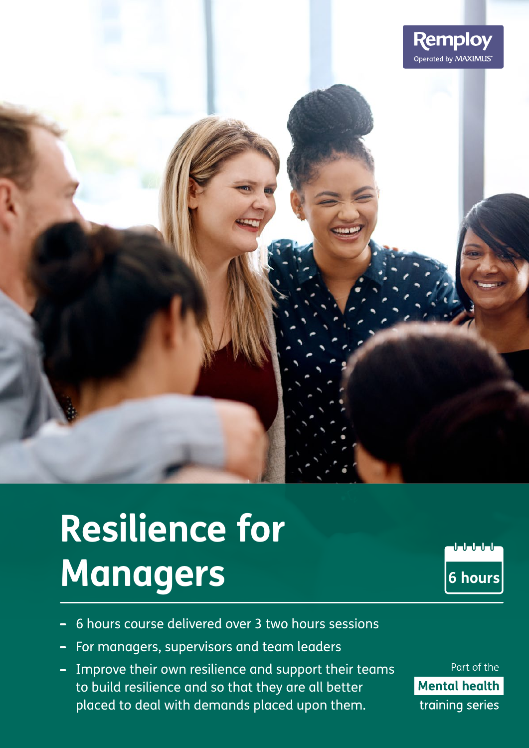

# **Resilience for Managers**

 $\begin{array}{c|c} \textbf{0} & \textbf{0} & \textbf{0} & \textbf{0} \\ \textbf{0} & \textbf{0} & \textbf{0} & \textbf{0} \\ \end{array}$ **6 hours**

- 6 hours course delivered over 3 two hours sessions
- For managers, supervisors and team leaders
- Improve their own resilience and support their teams to build resilience and so that they are all better placed to deal with demands placed upon them.

Part of the **Mental health** training series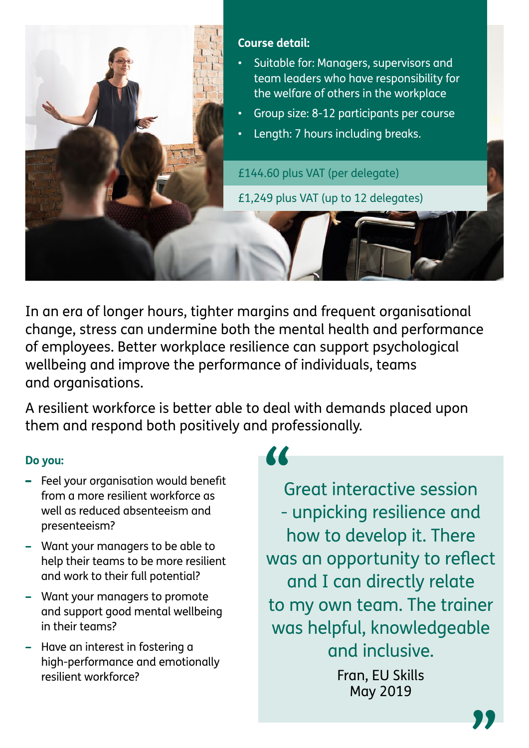

In an era of longer hours, tighter margins and frequent organisational change, stress can undermine both the mental health and performance of employees. Better workplace resilience can support psychological wellbeing and improve the performance of individuals, teams and organisations.

A resilient workforce is better able to deal with demands placed upon them and respond both positively and professionally.

# **Do you:**

- Feel your organisation would benefit from a more resilient workforce as well as reduced absenteeism and presenteeism?
- Want your managers to be able to help their teams to be more resilient and work to their full potential?
- Want your managers to promote and support good mental wellbeing in their teams?
- Have an interest in fostering a high-performance and emotionally resilient workforce?

# **"**

Great interactive session - unpicking resilience and how to develop it. There was an opportunity to reflect and I can directly relate to my own team. The trainer was helpful, knowledgeable and inclusive. Fran, EU Skills

May 2019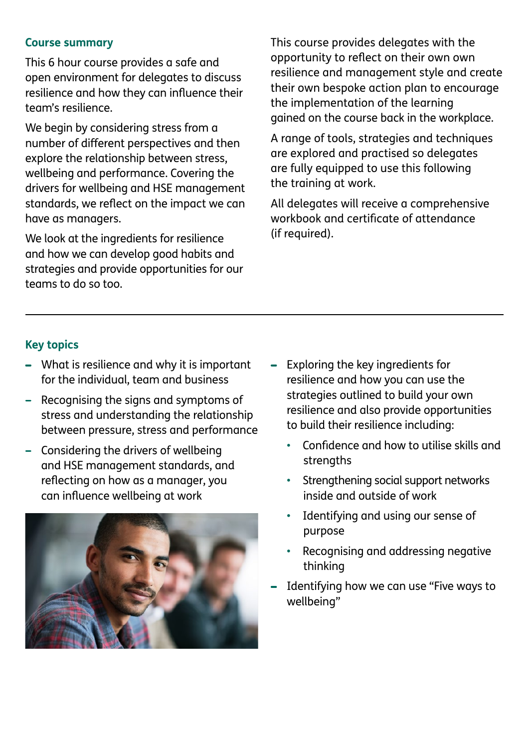### **Course summary**

This 6 hour course provides a safe and open environment for delegates to discuss resilience and how they can influence their team's resilience.

We begin by considering stress from a number of different perspectives and then explore the relationship between stress, wellbeing and performance. Covering the drivers for wellbeing and HSE management standards, we reflect on the impact we can have as managers.

We look at the ingredients for resilience and how we can develop good habits and strategies and provide opportunities for our teams to do so too.

This course provides delegates with the opportunity to reflect on their own own resilience and management style and create their own bespoke action plan to encourage the implementation of the learning gained on the course back in the workplace.

A range of tools, strategies and techniques are explored and practised so delegates are fully equipped to use this following the training at work.

All delegates will receive a comprehensive workbook and certificate of attendance (if required).

# **Key topics**

- What is resilience and why it is important for the individual, team and business
- Recognising the signs and symptoms of stress and understanding the relationship between pressure, stress and performance
- Considering the drivers of wellbeing and HSE management standards, and reflecting on how as a manager, you can influence wellbeing at work



- Exploring the key ingredients for resilience and how you can use the strategies outlined to build your own resilience and also provide opportunities to build their resilience including:
	- Confidence and how to utilise skills and strengths
	- Strengthening social support networks inside and outside of work
	- Identifying and using our sense of purpose
	- Recognising and addressing negative thinking
- Identifying how we can use "Five ways to wellbeing"